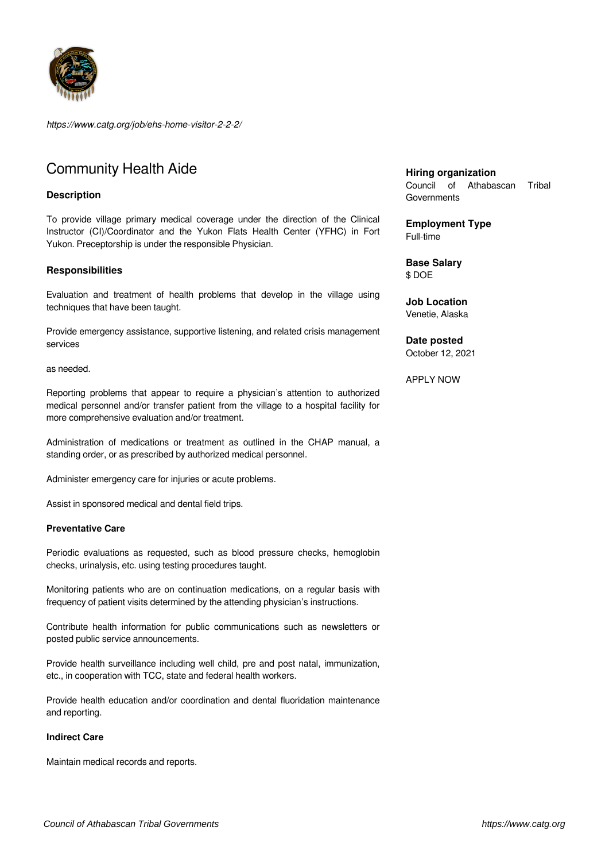

*https://www.catg.org/job/ehs-home-visitor-2-2-2/*

# Community Health Aide

# **Description**

To provide village primary medical coverage under the direction of the Clinical Instructor (CI)/Coordinator and the Yukon Flats Health Center (YFHC) in Fort Yukon. Preceptorship is under the responsible Physician.

# **Responsibilities**

Evaluation and treatment of health problems that develop in the village using techniques that have been taught.

Provide emergency assistance, supportive listening, and related crisis management services

as needed.

Reporting problems that appear to require a physician's attention to authorized medical personnel and/or transfer patient from the village to a hospital facility for more comprehensive evaluation and/or treatment.

Administration of medications or treatment as outlined in the CHAP manual, a standing order, or as prescribed by authorized medical personnel.

Administer emergency care for injuries or acute problems.

Assist in sponsored medical and dental field trips.

#### **Preventative Care**

Periodic evaluations as requested, such as blood pressure checks, hemoglobin checks, urinalysis, etc. using testing procedures taught.

Monitoring patients who are on continuation medications, on a regular basis with frequency of patient visits determined by the attending physician's instructions.

Contribute health information for public communications such as newsletters or posted public service announcements.

Provide health surveillance including well child, pre and post natal, immunization, etc., in cooperation with TCC, state and federal health workers.

Provide health education and/or coordination and dental fluoridation maintenance and reporting.

# **Indirect Care**

Maintain medical records and reports.

# **Hiring organization**

Council of Athabascan Tribal **Governments** 

**Employment Type** Full-time

**Base Salary** \$ DOE

**Job Location** Venetie, Alaska

**Date posted** October 12, 2021

APPLY NOW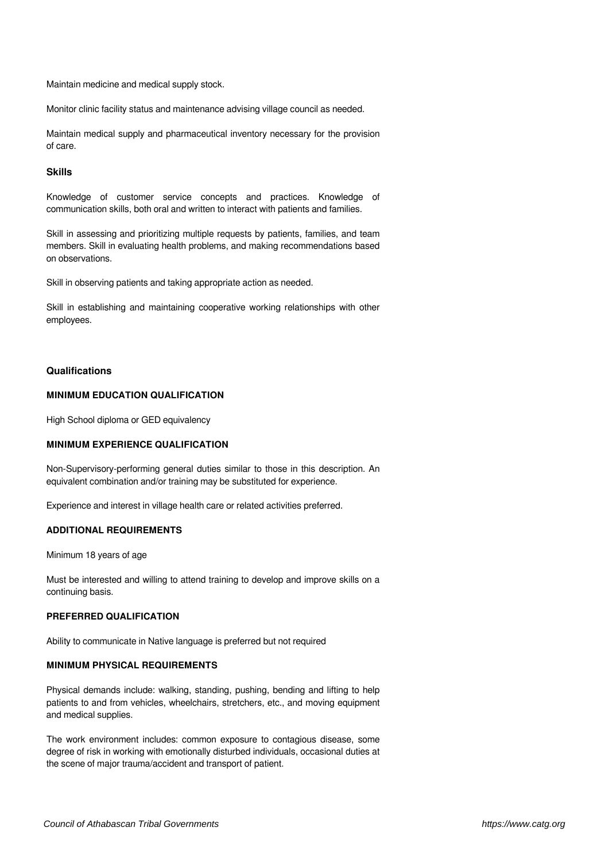Maintain medicine and medical supply stock.

Monitor clinic facility status and maintenance advising village council as needed.

Maintain medical supply and pharmaceutical inventory necessary for the provision of care.

# **Skills**

Knowledge of customer service concepts and practices. Knowledge of communication skills, both oral and written to interact with patients and families.

Skill in assessing and prioritizing multiple requests by patients, families, and team members. Skill in evaluating health problems, and making recommendations based on observations.

Skill in observing patients and taking appropriate action as needed.

Skill in establishing and maintaining cooperative working relationships with other employees.

#### **Qualifications**

# **MINIMUM EDUCATION QUALIFICATION**

High School diploma or GED equivalency

# **MINIMUM EXPERIENCE QUALIFICATION**

Non-Supervisory-performing general duties similar to those in this description. An equivalent combination and/or training may be substituted for experience.

Experience and interest in village health care or related activities preferred.

#### **ADDITIONAL REQUIREMENTS**

Minimum 18 years of age

Must be interested and willing to attend training to develop and improve skills on a continuing basis.

# **PREFERRED QUALIFICATION**

Ability to communicate in Native language is preferred but not required

#### **MINIMUM PHYSICAL REQUIREMENTS**

Physical demands include: walking, standing, pushing, bending and lifting to help patients to and from vehicles, wheelchairs, stretchers, etc., and moving equipment and medical supplies.

The work environment includes: common exposure to contagious disease, some degree of risk in working with emotionally disturbed individuals, occasional duties at the scene of major trauma/accident and transport of patient.